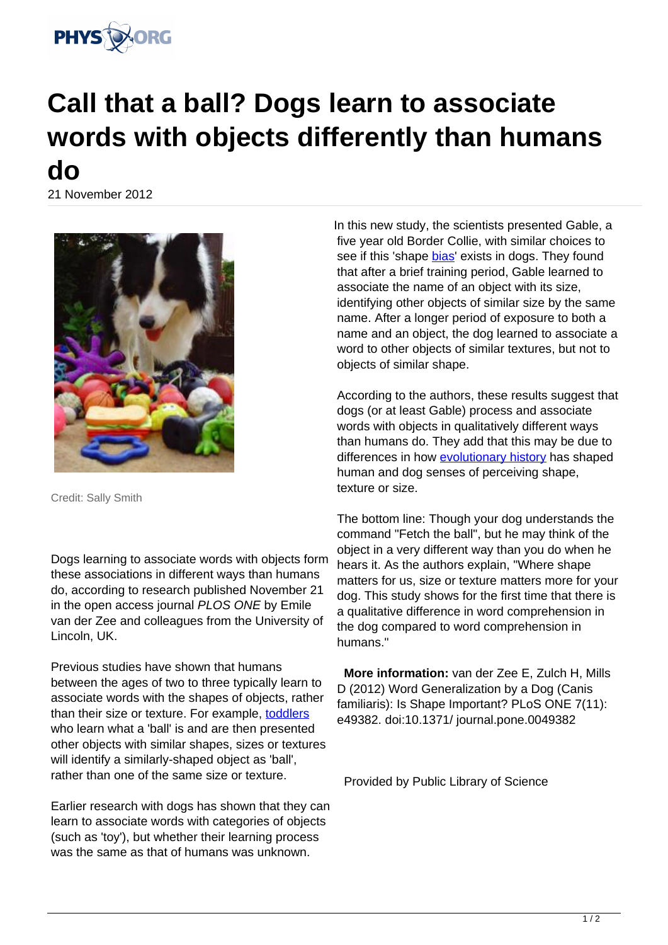

## **Call that a ball? Dogs learn to associate words with objects differently than humans do**

21 November 2012



Credit: Sally Smith

Dogs learning to associate words with objects form these associations in different ways than humans do, according to research published November 21 in the open access journal PLOS ONE by Emile van der Zee and colleagues from the University of Lincoln, UK.

Previous studies have shown that humans between the ages of two to three typically learn to associate words with the shapes of objects, rather than their size or texture. For example, [toddlers](https://phys.org/tags/toddlers/) who learn what a 'ball' is and are then presented other objects with similar shapes, sizes or textures will identify a similarly-shaped object as 'ball', rather than one of the same size or texture.

Earlier research with dogs has shown that they can learn to associate words with categories of objects (such as 'toy'), but whether their learning process was the same as that of humans was unknown.

In this new study, the scientists presented Gable, a five year old Border Collie, with similar choices to see if this 'shape [bias](https://phys.org/tags/bias/)' exists in dogs. They found that after a brief training period, Gable learned to associate the name of an object with its size, identifying other objects of similar size by the same name. After a longer period of exposure to both a name and an object, the dog learned to associate a word to other objects of similar textures, but not to objects of similar shape.

According to the authors, these results suggest that dogs (or at least Gable) process and associate words with objects in qualitatively different ways than humans do. They add that this may be due to differences in how [evolutionary history](https://phys.org/tags/evolutionary+history/) has shaped human and dog senses of perceiving shape, texture or size.

The bottom line: Though your dog understands the command "Fetch the ball", but he may think of the object in a very different way than you do when he hears it. As the authors explain, "Where shape matters for us, size or texture matters more for your dog. This study shows for the first time that there is a qualitative difference in word comprehension in the dog compared to word comprehension in humans."

 **More information:** van der Zee E, Zulch H, Mills D (2012) Word Generalization by a Dog (Canis familiaris): Is Shape Important? PLoS ONE 7(11): e49382. doi:10.1371/ journal.pone.0049382

Provided by Public Library of Science